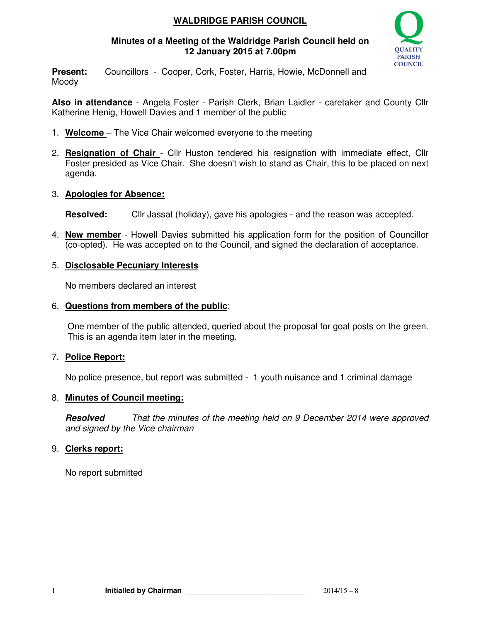# **WALDRIDGE PARISH COUNCIL**

### **Minutes of a Meeting of the Waldridge Parish Council held on 12 January 2015 at 7.00pm**



**Present:** Councillors - Cooper, Cork, Foster, Harris, Howie, McDonnell and Moody

**Also in attendance** - Angela Foster - Parish Clerk, Brian Laidler - caretaker and County Cllr Katherine Henig, Howell Davies and 1 member of the public

- 1. **Welcome**  The Vice Chair welcomed everyone to the meeting
- 2. **Resignation of Chair**  Cllr Huston tendered his resignation with immediate effect, Cllr Foster presided as Vice Chair. She doesn't wish to stand as Chair, this to be placed on next agenda.

### 3. **Apologies for Absence:**

**Resolved:** Cllr Jassat (holiday), gave his apologies - and the reason was accepted.

4. **New member** - Howell Davies submitted his application form for the position of Councillor (co-opted). He was accepted on to the Council, and signed the declaration of acceptance.

### 5. **Disclosable Pecuniary Interests**

No members declared an interest

#### 6. **Questions from members of the public**:

One member of the public attended, queried about the proposal for goal posts on the green. This is an agenda item later in the meeting.

### 7. **Police Report:**

No police presence, but report was submitted - 1 youth nuisance and 1 criminal damage

### 8. **Minutes of Council meeting:**

**Resolved** That the minutes of the meeting held on 9 December 2014 were approved and signed by the Vice chairman

# 9. **Clerks report:**

No report submitted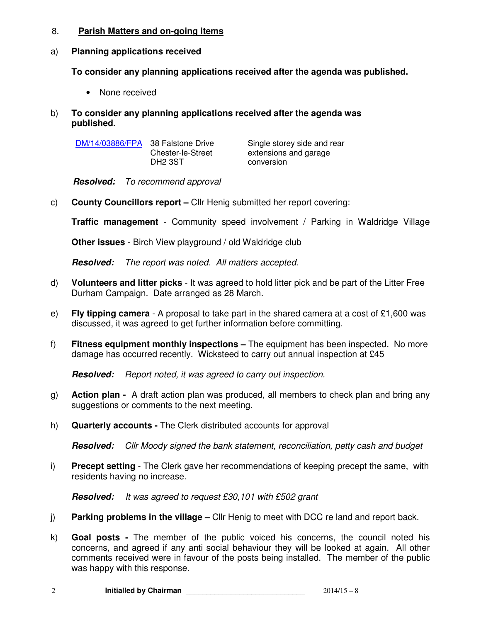### 8. **Parish Matters and on-going items**

### a) **Planning applications received**

**To consider any planning applications received after the agenda was published.** 

- None received
- b) **To consider any planning applications received after the agenda was published.**

DM/14/03886/FPA 38 Falstone Drive Chester-le-Street DH2 3ST

Single storey side and rear extensions and garage conversion

**Resolved:** To recommend approval

c) **County Councillors report –** Cllr Henig submitted her report covering:

**Traffic management** - Community speed involvement / Parking in Waldridge Village

**Other issues** - Birch View playground / old Waldridge club

**Resolved:** The report was noted. All matters accepted.

- d) **Volunteers and litter picks**  It was agreed to hold litter pick and be part of the Litter Free Durham Campaign. Date arranged as 28 March.
- e) **Fly tipping camera**  A proposal to take part in the shared camera at a cost of £1,600 was discussed, it was agreed to get further information before committing.
- f) **Fitness equipment monthly inspections** The equipment has been inspected. No more damage has occurred recently. Wicksteed to carry out annual inspection at £45

**Resolved:** Report noted, it was agreed to carry out inspection.

- g) **Action plan** A draft action plan was produced, all members to check plan and bring any suggestions or comments to the next meeting.
- h) **Quarterly accounts** The Clerk distributed accounts for approval

**Resolved:** Cllr Moody signed the bank statement, reconciliation, petty cash and budget

i) **Precept setting** - The Clerk gave her recommendations of keeping precept the same, with residents having no increase.

**Resolved:** It was agreed to request £30,101 with £502 grant

- j) **Parking problems in the village –** Cllr Henig to meet with DCC re land and report back.
- k) **Goal posts** The member of the public voiced his concerns, the council noted his concerns, and agreed if any anti social behaviour they will be looked at again. All other comments received were in favour of the posts being installed. The member of the public was happy with this response.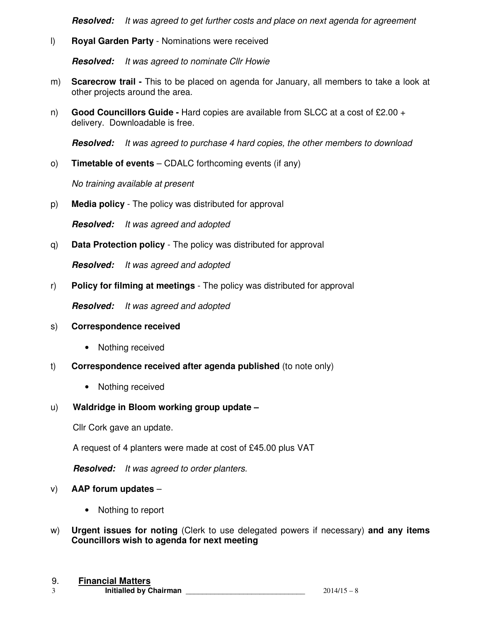**Resolved:** It was agreed to get further costs and place on next agenda for agreement

# l) **Royal Garden Party** - Nominations were received

**Resolved:** It was agreed to nominate Cllr Howie

- m) **Scarecrow trail -** This to be placed on agenda for January, all members to take a look at other projects around the area.
- n) **Good Councillors Guide** Hard copies are available from SLCC at a cost of £2.00 + delivery. Downloadable is free.

**Resolved:** It was agreed to purchase 4 hard copies, the other members to download

o) **Timetable of events** – CDALC forthcoming events (if any)

No training available at present

p) **Media policy** - The policy was distributed for approval

**Resolved:** It was agreed and adopted

q) **Data Protection policy** - The policy was distributed for approval

**Resolved:** It was agreed and adopted

r) **Policy for filming at meetings** - The policy was distributed for approval

**Resolved:** It was agreed and adopted

# s) **Correspondence received**

- Nothing received
- t) **Correspondence received after agenda published** (to note only)
	- Nothing received
- u) **Waldridge in Bloom working group update**

Cllr Cork gave an update.

A request of 4 planters were made at cost of £45.00 plus VAT

**Resolved:** It was agreed to order planters.

- v) **AAP forum updates** 
	- Nothing to report
- w) **Urgent issues for noting** (Clerk to use delegated powers if necessary) **and any items Councillors wish to agenda for next meeting**

# 9. **Financial Matters**

3 **Initialled by Chairman** \_\_\_\_\_\_\_\_\_\_\_\_\_\_\_\_\_\_\_\_\_\_\_\_\_\_\_\_\_ 2014/15 – 8